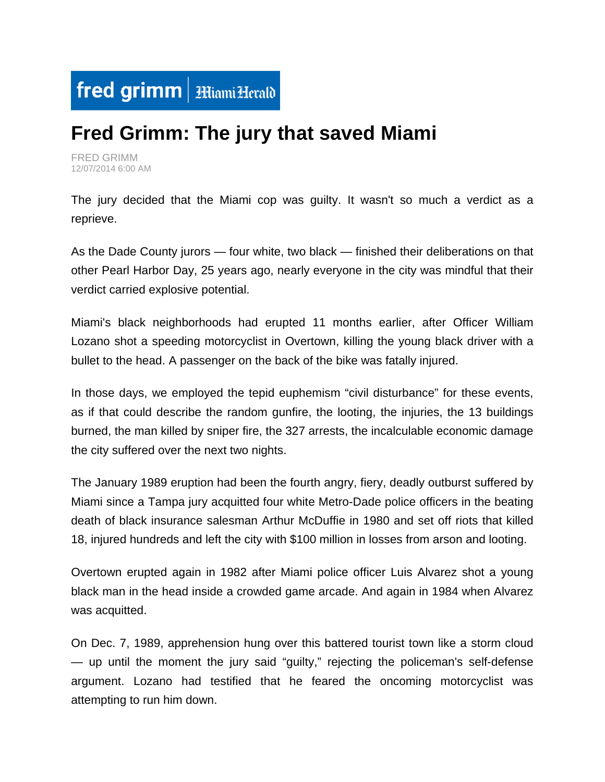

## **Fred Grimm: The jury that saved Miami**

FRED GRIMM 12/07/2014 6:00 AM

The jury decided that the Miami cop was guilty. It wasn't so much a verdict as a reprieve.

As the Dade County jurors — four white, two black — finished their deliberations on that other Pearl Harbor Day, 25 years ago, nearly everyone in the city was mindful that their verdict carried explosive potential.

Miami's black neighborhoods had erupted 11 months earlier, after Officer William Lozano shot a speeding motorcyclist in Overtown, killing the young black driver with a bullet to the head. A passenger on the back of the bike was fatally injured.

In those days, we employed the tepid euphemism "civil disturbance" for these events, as if that could describe the random gunfire, the looting, the injuries, the 13 buildings burned, the man killed by sniper fire, the 327 arrests, the incalculable economic damage the city suffered over the next two nights.

The January 1989 eruption had been the fourth angry, fiery, deadly outburst suffered by Miami since a Tampa jury acquitted four white Metro-Dade police officers in the beating death of black insurance salesman Arthur McDuffie in 1980 and set off riots that killed 18, injured hundreds and left the city with \$100 million in losses from arson and looting.

Overtown erupted again in 1982 after Miami police officer Luis Alvarez shot a young black man in the head inside a crowded game arcade. And again in 1984 when Alvarez was acquitted.

On Dec. 7, 1989, apprehension hung over this battered tourist town like a storm cloud — up until the moment the jury said "guilty," rejecting the policeman's self-defense argument. Lozano had testified that he feared the oncoming motorcyclist was attempting to run him down.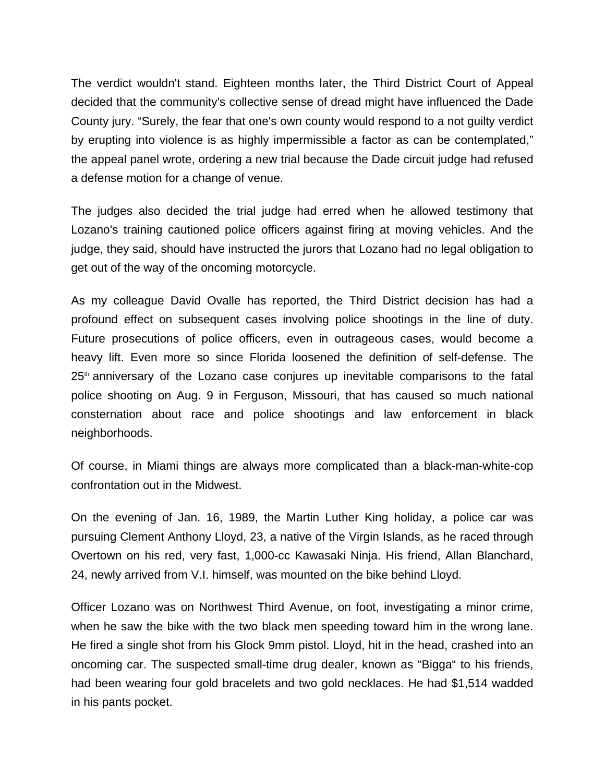The verdict wouldn't stand. Eighteen months later, the Third District Court of Appeal decided that the community's collective sense of dread might have influenced the Dade County jury. "Surely, the fear that one's own county would respond to a not guilty verdict by erupting into violence is as highly impermissible a factor as can be contemplated," the appeal panel wrote, ordering a new trial because the Dade circuit judge had refused a defense motion for a change of venue.

The judges also decided the trial judge had erred when he allowed testimony that Lozano's training cautioned police officers against firing at moving vehicles. And the judge, they said, should have instructed the jurors that Lozano had no legal obligation to get out of the way of the oncoming motorcycle.

As my colleague David Ovalle has reported, the Third District decision has had a profound effect on subsequent cases involving police shootings in the line of duty. Future prosecutions of police officers, even in outrageous cases, would become a heavy lift. Even more so since Florida loosened the definition of self-defense. The  $25<sup>th</sup>$  anniversary of the Lozano case conjures up inevitable comparisons to the fatal police shooting on Aug. 9 in Ferguson, Missouri, that has caused so much national consternation about race and police shootings and law enforcement in black neighborhoods.

Of course, in Miami things are always more complicated than a black-man-white-cop confrontation out in the Midwest.

On the evening of Jan. 16, 1989, the Martin Luther King holiday, a police car was pursuing Clement Anthony Lloyd, 23, a native of the Virgin Islands, as he raced through Overtown on his red, very fast, 1,000-cc Kawasaki Ninja. His friend, Allan Blanchard, 24, newly arrived from V.I. himself, was mounted on the bike behind Lloyd.

Officer Lozano was on Northwest Third Avenue, on foot, investigating a minor crime, when he saw the bike with the two black men speeding toward him in the wrong lane. He fired a single shot from his Glock 9mm pistol. Lloyd, hit in the head, crashed into an oncoming car. The suspected small-time drug dealer, known as "Bigga" to his friends, had been wearing four gold bracelets and two gold necklaces. He had \$1,514 wadded in his pants pocket.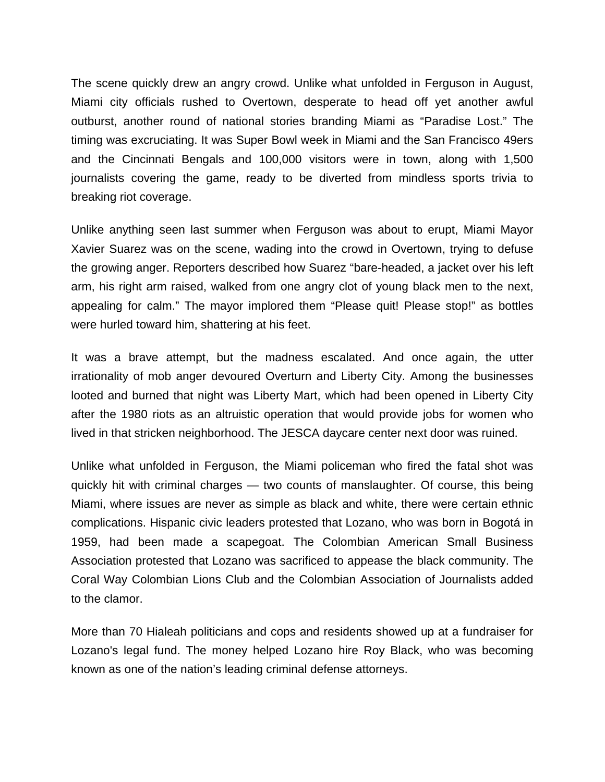The scene quickly drew an angry crowd. Unlike what unfolded in Ferguson in August, Miami city officials rushed to Overtown, desperate to head off yet another awful outburst, another round of national stories branding Miami as "Paradise Lost." The timing was excruciating. It was Super Bowl week in Miami and the San Francisco 49ers and the Cincinnati Bengals and 100,000 visitors were in town, along with 1,500 journalists covering the game, ready to be diverted from mindless sports trivia to breaking riot coverage.

Unlike anything seen last summer when Ferguson was about to erupt, Miami Mayor Xavier Suarez was on the scene, wading into the crowd in Overtown, trying to defuse the growing anger. Reporters described how Suarez "bare-headed, a jacket over his left arm, his right arm raised, walked from one angry clot of young black men to the next, appealing for calm." The mayor implored them "Please quit! Please stop!" as bottles were hurled toward him, shattering at his feet.

It was a brave attempt, but the madness escalated. And once again, the utter irrationality of mob anger devoured Overturn and Liberty City. Among the businesses looted and burned that night was Liberty Mart, which had been opened in Liberty City after the 1980 riots as an altruistic operation that would provide jobs for women who lived in that stricken neighborhood. The JESCA daycare center next door was ruined.

Unlike what unfolded in Ferguson, the Miami policeman who fired the fatal shot was quickly hit with criminal charges — two counts of manslaughter. Of course, this being Miami, where issues are never as simple as black and white, there were certain ethnic complications. Hispanic civic leaders protested that Lozano, who was born in Bogotá in 1959, had been made a scapegoat. The Colombian American Small Business Association protested that Lozano was sacrificed to appease the black community. The Coral Way Colombian Lions Club and the Colombian Association of Journalists added to the clamor.

More than 70 Hialeah politicians and cops and residents showed up at a fundraiser for Lozano's legal fund. The money helped Lozano hire Roy Black, who was becoming known as one of the nation's leading criminal defense attorneys.